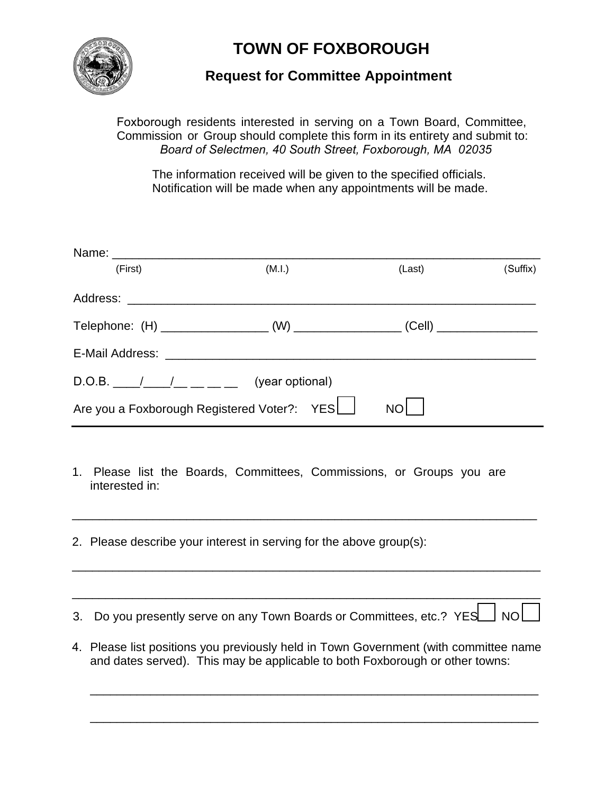

## **TOWN OF FOXBOROUGH**

## **Request for Committee Appointment**

Foxborough residents interested in serving on a Town Board, Committee, Commission or Group should complete this form in its entirety and submit to: *Board of Selectmen, 40 South Street, Foxborough, MA 02035*

The information received will be given to the specified officials. Notification will be made when any appointments will be made.

| (First) | (M.I.)                                      | (Last)          | (Suffix) |
|---------|---------------------------------------------|-----------------|----------|
|         |                                             |                 |          |
|         |                                             |                 |          |
|         |                                             |                 |          |
|         | (year optional)                             |                 |          |
|         | Are you a Foxborough Registered Voter?: YES | NO <sub>I</sub> |          |

- 1. Please list the Boards, Committees, Commissions, or Groups you are interested in:
- 2. Please describe your interest in serving for the above group(s):
- 3. Do you presently serve on any Town Boards or Committees, etc.?  $YES \rightarrow NO \rightarrow$

\_\_\_\_\_\_\_\_\_\_\_\_\_\_\_\_\_\_\_\_\_\_\_\_\_\_\_\_\_\_\_\_\_\_\_\_\_\_\_\_\_\_\_\_\_\_\_\_\_\_\_\_\_\_\_\_\_\_\_\_\_\_\_\_\_\_\_\_\_\_

\_\_\_\_\_\_\_\_\_\_\_\_\_\_\_\_\_\_\_\_\_\_\_\_\_\_\_\_\_\_\_\_\_\_\_\_\_\_\_\_\_\_\_\_\_\_\_\_\_\_\_\_\_\_\_\_\_\_\_\_\_\_\_\_\_\_\_\_\_\_

\_\_\_\_\_\_\_\_\_\_\_\_\_\_\_\_\_\_\_\_\_\_\_\_\_\_\_\_\_\_\_\_\_\_\_\_\_\_\_\_\_\_\_\_\_\_\_\_\_\_\_\_\_\_\_\_\_\_\_\_\_\_\_\_\_\_\_\_\_

4. Please list positions you previously held in Town Government (with committee name and dates served). This may be applicable to both Foxborough or other towns:

\_\_\_\_\_\_\_\_\_\_\_\_\_\_\_\_\_\_\_\_\_\_\_\_\_\_\_\_\_\_\_\_\_\_\_\_\_\_\_\_\_\_\_\_\_\_\_\_\_\_\_\_\_\_\_\_\_\_\_\_\_\_\_\_\_\_\_

\_\_\_\_\_\_\_\_\_\_\_\_\_\_\_\_\_\_\_\_\_\_\_\_\_\_\_\_\_\_\_\_\_\_\_\_\_\_\_\_\_\_\_\_\_\_\_\_\_\_\_\_\_\_\_\_\_\_\_\_\_\_\_\_\_\_\_